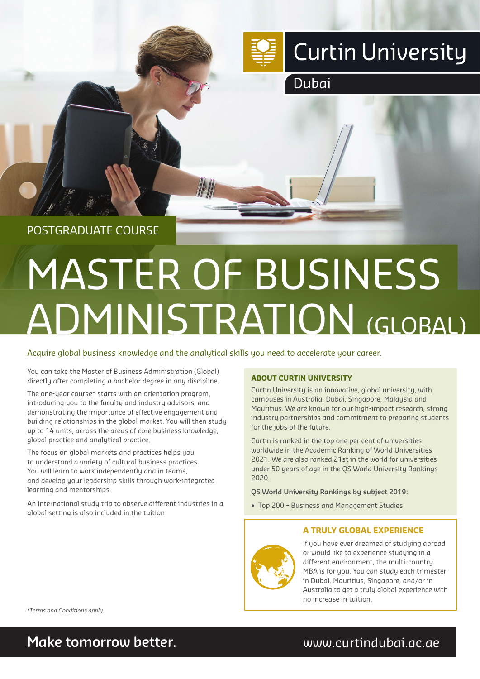

Dubai

# POSTGRADUATE COURSE

# MASTER OF BUSINESS ADMINISTRATION (GLOBAL)

## Acquire global business knowledge and the analytical skills you need to accelerate your career.

**AD AD** 

You can take the Master of Business Administration (Global) directly after completing a bachelor degree in any discipline.

The one-year course\* starts with an orientation program, introducing you to the faculty and industry advisors, and demonstrating the importance of effective engagement and building relationships in the global market. You will then study up to 14 units, across the areas of core business knowledge, global practice and analytical practice.

The focus on global markets and practices helps you to understand a variety of cultural business practices. You will learn to work independently and in teams, and develop your leadership skills through work-integrated learning and mentorships.

An international study trip to observe different industries in a global setting is also included in the tuition.

## **ABOUT CURTIN UNIVERSITY**

Curtin University is an innovative, global university, with campuses in Australia, Dubai, Singapore, Malaysia and Mauritius. We are known for our high-impact research, strong industry partnerships and commitment to preparing students for the jobs of the future.

Curtin is ranked in the top one per cent of universities worldwide in the Academic Ranking of World Universities 2021. We are also ranked 21st in the world for universities under 50 years of age in the QS World University Rankings 2020.

## **QS World University Rankings by subject 2019:**

• Top 200 – Business and Management Studies

## **A TRULY GLOBAL EXPERIENCE**



If you have ever dreamed of studying abroad or would like to experience studying in a different environment, the multi-country MBA is for you. You can study each trimester in Dubai, Mauritius, Singapore, and/or in Australia to get a truly global experience with no increase in tuition.

*\*Terms and Conditions apply.*

# **Make tomorrow better.** We are all www.curtindubai.ac.ae